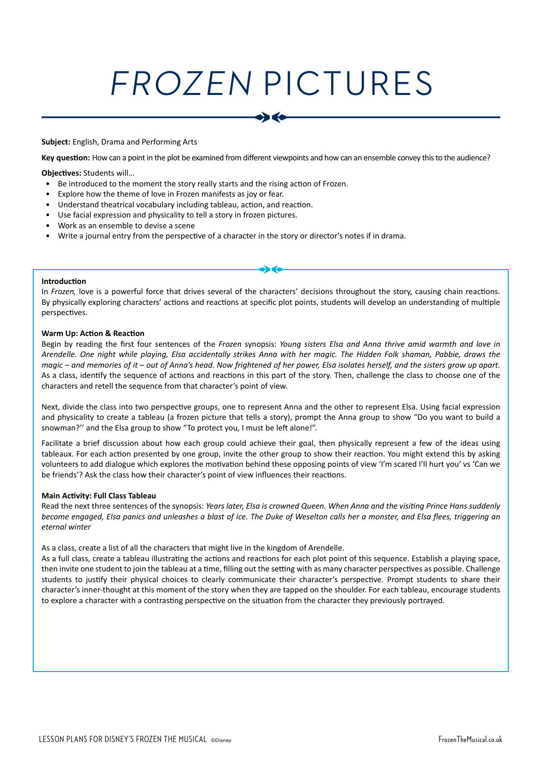# FROZEN PICTURES

### **Subject:** English, Drama and Performing Arts

**Key question:** How can a point in the plot be examined from different viewpoints and how can an ensemble convey this to the audience?

#### **Objectives:** Students will…

- Be introduced to the moment the story really starts and the rising action of Frozen.
- Explore how the theme of love in Frozen manifests as joy or fear.
- Understand theatrical vocabulary including tableau, action, and reaction.
- Use facial expression and physicality to tell a story in frozen pictures.
- Work as an ensemble to devise a scene
- Write a journal entry from the perspective of a character in the story or director's notes if in drama.

#### **Introduction**

In *Frozen,* love is a powerful force that drives several of the characters' decisions throughout the story, causing chain reactions. By physically exploring characters' actions and reactions at specific plot points, students will develop an understanding of multiple perspectives.

#### **Warm Up: Action & Reaction**

Begin by reading the first four sentences of the *Frozen* synopsis: *Young sisters Elsa and Anna thrive amid warmth and love in Arendelle. One night while playing, Elsa accidentally strikes Anna with her magic. The Hidden Folk shaman, Pabbie, draws the magic – and memories of it – out of Anna's head. Now frightened of her power, Elsa isolates herself, and the sisters grow up apart.* As a class, identify the sequence of actions and reactions in this part of the story. Then, challenge the class to choose one of the characters and retell the sequence from that character's point of view.

Next, divide the class into two perspective groups, one to represent Anna and the other to represent Elsa. Using facial expression and physicality to create a tableau (a frozen picture that tells a story), prompt the Anna group to show "Do you want to build a snowman?'' and the Elsa group to show "To protect you, I must be left alone!".

Facilitate a brief discussion about how each group could achieve their goal, then physically represent a few of the ideas using tableaux. For each action presented by one group, invite the other group to show their reaction. You might extend this by asking volunteers to add dialogue which explores the motivation behind these opposing points of view 'I'm scared I'll hurt you' vs 'Can we be friends'? Ask the class how their character's point of view influences their reactions.

#### **Main Activity: Full Class Tableau**

Read the next three sentences of the synopsis: *Years later, Elsa is crowned Queen. When Anna and the visiting Prince Hans suddenly become engaged, Elsa panics and unleashes a blast of ice. The Duke of Weselton calls her a monster, and Elsa flees, triggering an eternal winter*

### As a class, create a list of all the characters that might live in the kingdom of Arendelle.

As a full class, create a tableau illustrating the actions and reactions for each plot point of this sequence. Establish a playing space, then invite one student to join the tableau at a time, filling out the setting with as many character perspectives as possible. Challenge students to justify their physical choices to clearly communicate their character's perspective. Prompt students to share their character's inner-thought at this moment of the story when they are tapped on the shoulder. For each tableau, encourage students to explore a character with a contrasting perspective on the situation from the character they previously portrayed.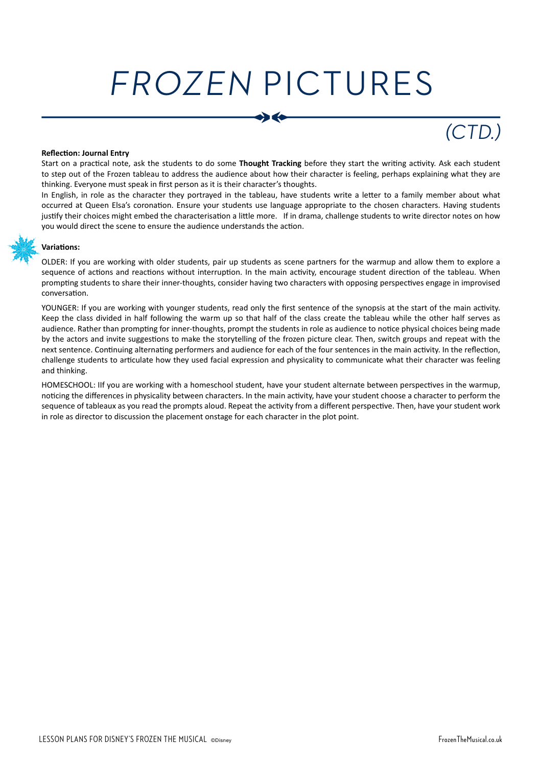# FROZEN PICTURES

## (CTD.)

### **Reflection: Journal Entry**

Start on a practical note, ask the students to do some **Thought Tracking** before they start the writing activity. Ask each student to step out of the Frozen tableau to address the audience about how their character is feeling, perhaps explaining what they are thinking. Everyone must speak in first person as it is their character's thoughts.

In English, in role as the character they portrayed in the tableau, have students write a letter to a family member about what occurred at Queen Elsa's coronation. Ensure your students use language appropriate to the chosen characters. Having students justify their choices might embed the characterisation a little more. If in drama, challenge students to write director notes on how you would direct the scene to ensure the audience understands the action.



### **Variations:**

OLDER: If you are working with older students, pair up students as scene partners for the warmup and allow them to explore a sequence of actions and reactions without interruption. In the main activity, encourage student direction of the tableau. When prompting students to share their inner-thoughts, consider having two characters with opposing perspectives engage in improvised conversation.

YOUNGER: If you are working with younger students, read only the first sentence of the synopsis at the start of the main activity. Keep the class divided in half following the warm up so that half of the class create the tableau while the other half serves as audience. Rather than prompting for inner-thoughts, prompt the students in role as audience to notice physical choices being made by the actors and invite suggestions to make the storytelling of the frozen picture clear. Then, switch groups and repeat with the next sentence. Continuing alternating performers and audience for each of the four sentences in the main activity. In the reflection, challenge students to articulate how they used facial expression and physicality to communicate what their character was feeling and thinking.

HOMESCHOOL: IIf you are working with a homeschool student, have your student alternate between perspectives in the warmup, noticing the differences in physicality between characters. In the main activity, have your student choose a character to perform the sequence of tableaux as you read the prompts aloud. Repeat the activity from a different perspective. Then, have your student work in role as director to discussion the placement onstage for each character in the plot point.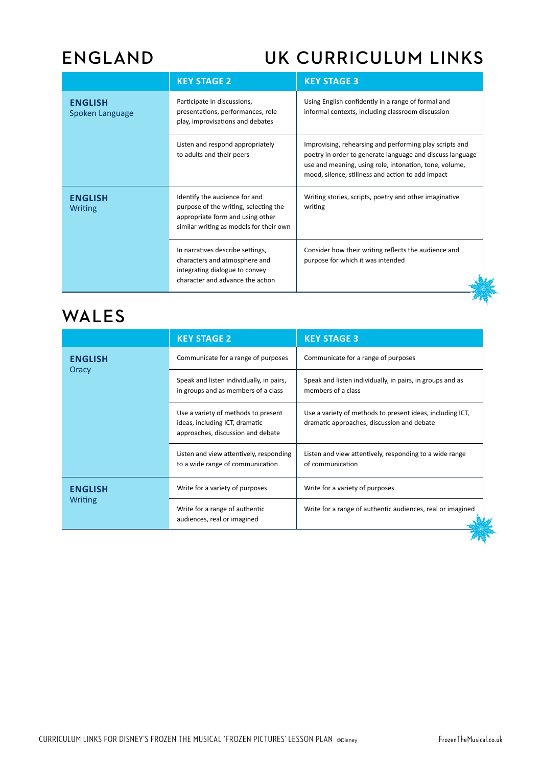### **ENGLAND UK CURRICULUM LINKS**

|                                   | <b>KEY STAGE 2</b>                                                                                                                                    | <b>KEY STAGE 3</b>                                                                                                                                                                                                                  |  |
|-----------------------------------|-------------------------------------------------------------------------------------------------------------------------------------------------------|-------------------------------------------------------------------------------------------------------------------------------------------------------------------------------------------------------------------------------------|--|
| <b>ENGLISH</b><br>Spoken Language | Participate in discussions,<br>presentations, performances, role<br>play, improvisations and debates                                                  | Using English confidently in a range of formal and<br>informal contexts, including classroom discussion                                                                                                                             |  |
|                                   | Listen and respond appropriately<br>to adults and their peers                                                                                         | Improvising, rehearsing and performing play scripts and<br>poetry in order to generate language and discuss language<br>use and meaning, using role, intonation, tone, volume,<br>mood, silence, stillness and action to add impact |  |
| <b>ENGLISH</b><br>Writing         | Identify the audience for and<br>purpose of the writing, selecting the<br>appropriate form and using other<br>similar writing as models for their own | Writing stories, scripts, poetry and other imaginative<br>writing                                                                                                                                                                   |  |
|                                   | In narratives describe settings,<br>characters and atmosphere and<br>integrating dialogue to convey<br>character and advance the action               | Consider how their writing reflects the audience and<br>purpose for which it was intended                                                                                                                                           |  |

### **WALES**

|                           | <b>KEY STAGE 2</b>                                                                                         | <b>KEY STAGE 3</b>                                                                                      |  |
|---------------------------|------------------------------------------------------------------------------------------------------------|---------------------------------------------------------------------------------------------------------|--|
| <b>ENGLISH</b><br>Oracy   | Communicate for a range of purposes                                                                        | Communicate for a range of purposes                                                                     |  |
|                           | Speak and listen individually, in pairs,<br>in groups and as members of a class                            | Speak and listen individually, in pairs, in groups and as<br>members of a class                         |  |
|                           | Use a variety of methods to present<br>ideas, including ICT, dramatic<br>approaches, discussion and debate | Use a variety of methods to present ideas, including ICT,<br>dramatic approaches, discussion and debate |  |
|                           | Listen and view attentively, responding<br>to a wide range of communication                                | Listen and view attentively, responding to a wide range<br>of communication                             |  |
| <b>ENGLISH</b><br>Writing | Write for a variety of purposes                                                                            | Write for a variety of purposes                                                                         |  |
|                           | Write for a range of authentic<br>audiences, real or imagined                                              | Write for a range of authentic audiences, real or imagined                                              |  |